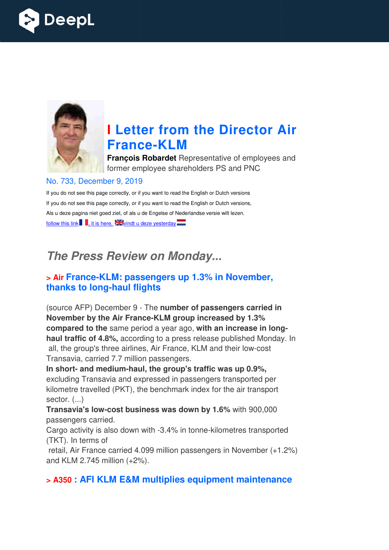



# **I Letter from the Director Air France France-KLM**

**François Robardet** Representative of employees and former employee shareholders PS and PNC

#### No. 733, December 9, 2019

If you do not see this page correctly, or if you want to read the English or Dutch versions If you do not see this page correctly, or if you want to read the English or Dutch versions, Als u deze pagina niet goed ziet, of als u de Engelse of Nederlandse versie wilt lezen, follow this link  $\blacksquare$ , it is here,  $\square$  vindt u deze yesterday

## *The Press Review on Monday...*

#### > Air France-KLM: passengers up 1.3% in November,<br>thanks to long-haul flights **thanks to long-haul flights**

(source AFP) December 9 - The **number of passengers carried in November by the Air France France-KLM group increased by 1.3% compared to the** same period a year ago, with an increase in long**haul traffic of 4.8%,** according to a press release published Monday. In all, the group's three airlines, Air France, KLM and their low-cost Transavia, carried 7.7 million passengers.

In short- and medium-haul, the group's traffic was up 0.9%, excluding Transavia and expressed in passengers transported per kilometre travelled (PKT), the benchmark index for the air transport sector. (...)

**Transavia's low-cost business was down by 1.6% with 900,000** passengers carried.

Cargo activity is also down with -3.4% in tonne-kilometres transported (TKT). In terms of

retail, Air France carried 4.099 million passengers in November (+1.2%) and KLM 2.745 million (+2%).

#### **> A350 : AFI KLM E&M multiplies equipment maintenance**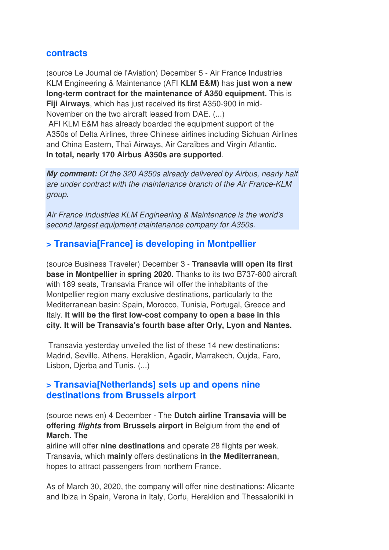#### **contracts**

(source Le Journal de l'Aviation) December 5 - Air France Industries KLM Engineering & Maintenance (AFI **KLM E&M)** has **just won a new long-term contract for the maintenance of A350 equipment.** This is **Fiji Airways**, which has just received its first A350-900 in mid-November on the two aircraft leased from DAE. (...) AFI KLM E&M has already boarded the equipment support of the A350s of Delta Airlines, three Chinese airlines including Sichuan Airlines and China Eastern, Thaï Airways, Air Caraïbes and Virgin Atlantic. **In total, nearly 170 Airbus A350s are supported**.

*My comment:* Of the 320 A350s already delivered by Airbus, nearly half are under contract with the maintenance branch of the Air France-KLM group.

Air France Industries KLM Engineering & Maintenance is the world's second largest equipment maintenance company for A350s.

#### **> Transavia[France] is developing in Montpellier**

(source Business Traveler) December 3 - **Transavia will open its first base in Montpellier** in **spring 2020.** Thanks to its two B737-800 aircraft with 189 seats, Transavia France will offer the inhabitants of the Montpellier region many exclusive destinations, particularly to the Mediterranean basin: Spain, Morocco, Tunisia, Portugal, Greece and Italy. **It will be the first low-cost company to open a base in this city. It will be Transavia's fourth base after Orly, Lyon and Nantes.** 

 Transavia yesterday unveiled the list of these 14 new destinations: Madrid, Seville, Athens, Heraklion, Agadir, Marrakech, Oujda, Faro, Lisbon, Djerba and Tunis. (...)

#### **> Transavia[Netherlands] sets up and opens nine destinations from Brussels airport**

(source news en) 4 December - The **Dutch airline Transavia will be offering** *flights* **from Brussels airport in** Belgium from the **end of March. The** 

airline will offer **nine destinations** and operate 28 flights per week. Transavia, which **mainly** offers destinations **in the Mediterranean**, hopes to attract passengers from northern France.

As of March 30, 2020, the company will offer nine destinations: Alicante and Ibiza in Spain, Verona in Italy, Corfu, Heraklion and Thessaloniki in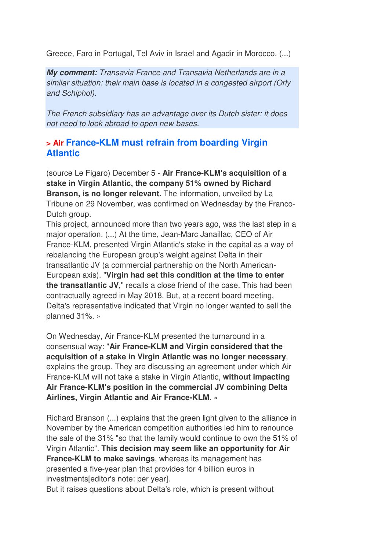Greece, Faro in Portugal, Tel Aviv in Israel and Agadir in Morocco. (...)

*My comment:* Transavia France and Transavia Netherlands are in a similar situation: their main base is located in a congested airport (Orly and Schiphol).

The French subsidiary has an advantage over its Dutch sister: it does not need to look abroad to open new bases.

#### **> Air France-KLM must refrain from boarding Virgin Atlantic**

(source Le Figaro) December 5 - **Air France-KLM's acquisition of a stake in Virgin Atlantic, the company 51% owned by Richard Branson, is no longer relevant.** The information, unveiled by La Tribune on 29 November, was confirmed on Wednesday by the Franco-Dutch group.

This project, announced more than two years ago, was the last step in a major operation. (...) At the time, Jean-Marc Janaillac, CEO of Air France-KLM, presented Virgin Atlantic's stake in the capital as a way of rebalancing the European group's weight against Delta in their transatlantic JV (a commercial partnership on the North American-European axis). "**Virgin had set this condition at the time to enter the transatlantic JV**," recalls a close friend of the case. This had been contractually agreed in May 2018. But, at a recent board meeting, Delta's representative indicated that Virgin no longer wanted to sell the planned 31%. »

On Wednesday, Air France-KLM presented the turnaround in a consensual way: "**Air France-KLM and Virgin considered that the acquisition of a stake in Virgin Atlantic was no longer necessary**, explains the group. They are discussing an agreement under which Air France-KLM will not take a stake in Virgin Atlantic, **without impacting Air France-KLM's position in the commercial JV combining Delta Airlines, Virgin Atlantic and Air France-KLM**. »

Richard Branson (...) explains that the green light given to the alliance in November by the American competition authorities led him to renounce the sale of the 31% "so that the family would continue to own the 51% of Virgin Atlantic". **This decision may seem like an opportunity for Air France-KLM to make savings**, whereas its management has presented a five-year plan that provides for 4 billion euros in investments[editor's note: per year].

But it raises questions about Delta's role, which is present without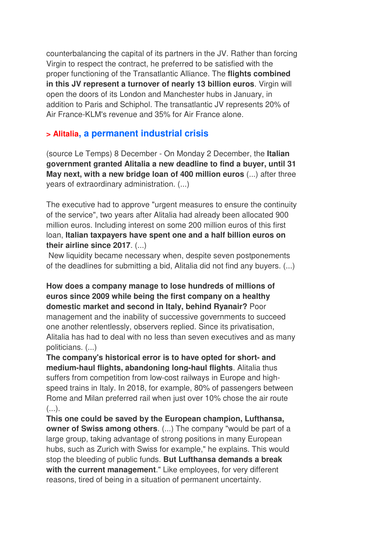counterbalancing the capital of its partners in the JV. Rather than forcing Virgin to respect the contract, he preferred to be satisfied with the proper functioning of the Transatlantic Alliance. The **flights combined in this JV represent a turnover of nearly 13 billion euros**. Virgin will open the doors of its London and Manchester hubs in January, in addition to Paris and Schiphol. The transatlantic JV represents 20% of Air France-KLM's revenue and 35% for Air France alone.

#### **> Alitalia, a permanent industrial crisis**

(source Le Temps) 8 December - On Monday 2 December, the **Italian government granted Alitalia a new deadline to find a buyer, until 31 May next, with a new bridge loan of 400 million euros** (...) after three years of extraordinary administration. (...)

The executive had to approve "urgent measures to ensure the continuity of the service", two years after Alitalia had already been allocated 900 million euros. Including interest on some 200 million euros of this first loan, **Italian taxpayers have spent one and a half billion euros on their airline since 2017**. (...)

 New liquidity became necessary when, despite seven postponements of the deadlines for submitting a bid, Alitalia did not find any buyers. (...)

**How does a company manage to lose hundreds of millions of euros since 2009 while being the first company on a healthy domestic market and second in Italy, behind Ryanair?** Poor management and the inability of successive governments to succeed one another relentlessly, observers replied. Since its privatisation, Alitalia has had to deal with no less than seven executives and as many politicians. (...)

**The company's historical error is to have opted for short- and medium-haul flights, abandoning long-haul flights**. Alitalia thus suffers from competition from low-cost railways in Europe and highspeed trains in Italy. In 2018, for example, 80% of passengers between Rome and Milan preferred rail when just over 10% chose the air route  $($ ...).

**This one could be saved by the European champion, Lufthansa, owner of Swiss among others**. (...) The company "would be part of a large group, taking advantage of strong positions in many European hubs, such as Zurich with Swiss for example," he explains. This would stop the bleeding of public funds. **But Lufthansa demands a break with the current management**." Like employees, for very different reasons, tired of being in a situation of permanent uncertainty.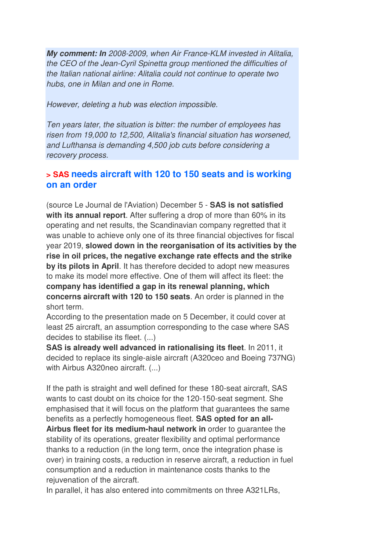*My comment: In* 2008-2009, when Air France-KLM invested in Alitalia, the CEO of the Jean-Cyril Spinetta group mentioned the difficulties of the Italian national airline: Alitalia could not continue to operate two hubs, one in Milan and one in Rome.

However, deleting a hub was election impossible.

Ten years later, the situation is bitter: the number of employees has risen from 19,000 to 12,500, Alitalia's financial situation has worsened, and Lufthansa is demanding 4,500 job cuts before considering a recovery process.

#### **> SAS needs aircraft with 120 to 150 seats and is working on an order**

(source Le Journal de l'Aviation) December 5 - **SAS is not satisfied with its annual report**. After suffering a drop of more than 60% in its operating and net results, the Scandinavian company regretted that it was unable to achieve only one of its three financial objectives for fiscal year 2019, **slowed down in the reorganisation of its activities by the rise in oil prices, the negative exchange rate effects and the strike by its pilots in April**. It has therefore decided to adopt new measures to make its model more effective. One of them will affect its fleet: the **company has identified a gap in its renewal planning, which concerns aircraft with 120 to 150 seats**. An order is planned in the short term.

According to the presentation made on 5 December, it could cover at least 25 aircraft, an assumption corresponding to the case where SAS decides to stabilise its fleet. (...)

**SAS is already well advanced in rationalising its fleet**. In 2011, it decided to replace its single-aisle aircraft (A320ceo and Boeing 737NG) with Airbus A320neo aircraft. (...)

If the path is straight and well defined for these 180-seat aircraft, SAS wants to cast doubt on its choice for the 120-150-seat segment. She emphasised that it will focus on the platform that guarantees the same benefits as a perfectly homogeneous fleet. **SAS opted for an all-Airbus fleet for its medium-haul network in** order to guarantee the stability of its operations, greater flexibility and optimal performance thanks to a reduction (in the long term, once the integration phase is over) in training costs, a reduction in reserve aircraft, a reduction in fuel consumption and a reduction in maintenance costs thanks to the rejuvenation of the aircraft.

In parallel, it has also entered into commitments on three A321LRs,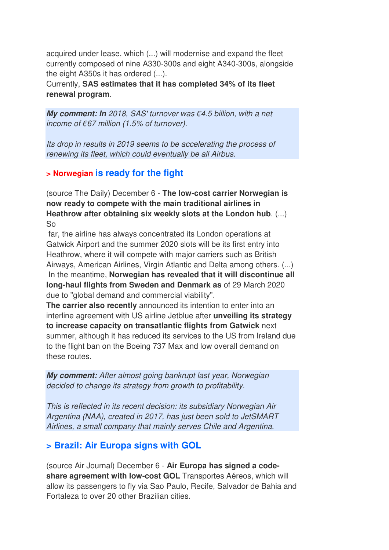acquired under lease, which (...) will modernise and expand the fleet currently composed of nine A330-300s and eight A340-300s, alongside the eight A350s it has ordered (...).

Currently, **SAS estimates that it has completed 34% of its fleet renewal program**.

*My comment: In 2018, SAS' turnover was €4.5 billion, with a net* income of  $\epsilon$ 67 million (1.5% of turnover).

Its drop in results in 2019 seems to be accelerating the process of renewing its fleet, which could eventually be all Airbus.

#### **> Norwegian is ready for the fight**

(source The Daily) December 6 - **The low-cost carrier Norwegian is now ready to compete with the main traditional airlines in Heathrow after obtaining six weekly slots at the London hub**. (...) So

 far, the airline has always concentrated its London operations at Gatwick Airport and the summer 2020 slots will be its first entry into Heathrow, where it will compete with major carriers such as British Airways, American Airlines, Virgin Atlantic and Delta among others. (...) In the meantime, **Norwegian has revealed that it will discontinue all long-haul flights from Sweden and Denmark as** of 29 March 2020 due to "global demand and commercial viability".

**The carrier also recently** announced its intention to enter into an interline agreement with US airline Jetblue after **unveiling its strategy to increase capacity on transatlantic flights from Gatwick** next summer, although it has reduced its services to the US from Ireland due to the flight ban on the Boeing 737 Max and low overall demand on these routes.

*My comment:* After almost going bankrupt last year, Norwegian decided to change its strategy from growth to profitability.

This is reflected in its recent decision: its subsidiary Norwegian Air Argentina (NAA), created in 2017, has just been sold to JetSMART Airlines, a small company that mainly serves Chile and Argentina.

#### **> Brazil: Air Europa signs with GOL**

(source Air Journal) December 6 - **Air Europa has signed a codeshare agreement with low-cost GOL** Transportes Aéreos, which will allow its passengers to fly via Sao Paulo, Recife, Salvador de Bahia and Fortaleza to over 20 other Brazilian cities.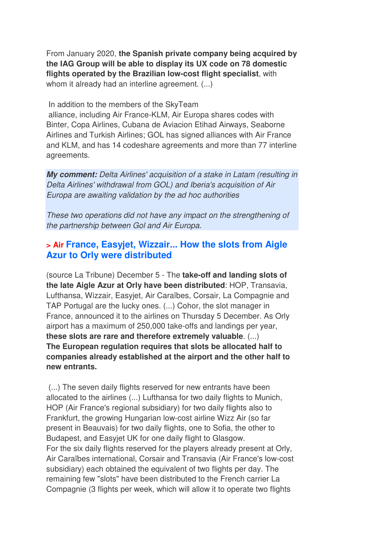From January 2020, **the Spanish private company being acquired by the IAG Group will be able to display its UX code on 78 domestic flights operated by the Brazilian low-cost flight specialist**, with whom it already had an interline agreement. (...)

 In addition to the members of the SkyTeam alliance, including Air France-KLM, Air Europa shares codes with Binter, Copa Airlines, Cubana de Aviacion Etihad Airways, Seaborne Airlines and Turkish Airlines; GOL has signed alliances with Air France and KLM, and has 14 codeshare agreements and more than 77 interline agreements.

*My comment:* Delta Airlines' acquisition of a stake in Latam (resulting in Delta Airlines' withdrawal from GOL) and Iberia's acquisition of Air Europa are awaiting validation by the ad hoc authorities

These two operations did not have any impact on the strengthening of the partnership between Gol and Air Europa.

#### **> Air France, Easyjet, Wizzair... How the slots from Aigle Azur to Orly were distributed**

(source La Tribune) December 5 - The **take-off and landing slots of the late Aigle Azur at Orly have been distributed**: HOP, Transavia, Lufthansa, Wizzair, Easyjet, Air Caraïbes, Corsair, La Compagnie and TAP Portugal are the lucky ones. (...) Cohor, the slot manager in France, announced it to the airlines on Thursday 5 December. As Orly airport has a maximum of 250,000 take-offs and landings per year, **these slots are rare and therefore extremely valuable**. (...) **The European regulation requires that slots be allocated half to companies already established at the airport and the other half to new entrants.** 

 (...) The seven daily flights reserved for new entrants have been allocated to the airlines (...) Lufthansa for two daily flights to Munich, HOP (Air France's regional subsidiary) for two daily flights also to Frankfurt, the growing Hungarian low-cost airline Wizz Air (so far present in Beauvais) for two daily flights, one to Sofia, the other to Budapest, and Easyjet UK for one daily flight to Glasgow. For the six daily flights reserved for the players already present at Orly, Air Caraïbes international, Corsair and Transavia (Air France's low-cost subsidiary) each obtained the equivalent of two flights per day. The remaining few "slots" have been distributed to the French carrier La Compagnie (3 flights per week, which will allow it to operate two flights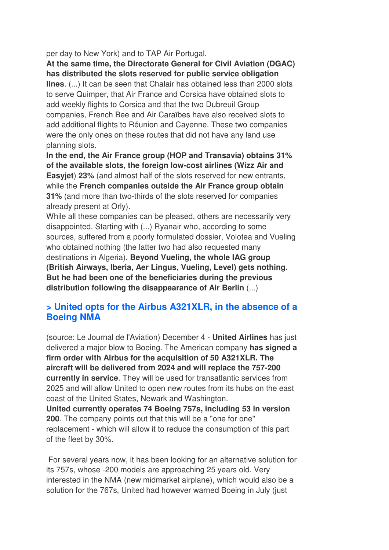per day to New York) and to TAP Air Portugal.

**At the same time, the Directorate General for Civil Aviation (DGAC) has distributed the slots reserved for public service obligation lines**. (...) It can be seen that Chalair has obtained less than 2000 slots

to serve Quimper, that Air France and Corsica have obtained slots to add weekly flights to Corsica and that the two Dubreuil Group companies, French Bee and Air Caraïbes have also received slots to add additional flights to Réunion and Cayenne. These two companies were the only ones on these routes that did not have any land use planning slots.

**In the end, the Air France group (HOP and Transavia) obtains 31% of the available slots, the foreign low-cost airlines (Wizz Air and Easyjet**) **23%** (and almost half of the slots reserved for new entrants, while the **French companies outside the Air France group obtain 31%** (and more than two-thirds of the slots reserved for companies already present at Orly).

While all these companies can be pleased, others are necessarily very disappointed. Starting with (...) Ryanair who, according to some sources, suffered from a poorly formulated dossier, Volotea and Vueling who obtained nothing (the latter two had also requested many destinations in Algeria). **Beyond Vueling, the whole IAG group (British Airways, Iberia, Aer Lingus, Vueling, Level) gets nothing. But he had been one of the beneficiaries during the previous distribution following the disappearance of Air Berlin** (...)

#### **> United opts for the Airbus A321XLR, in the absence of a Boeing NMA**

(source: Le Journal de l'Aviation) December 4 - **United Airlines** has just delivered a major blow to Boeing. The American company **has signed a firm order with Airbus for the acquisition of 50 A321XLR. The aircraft will be delivered from 2024 and will replace the 757-200 currently in service**. They will be used for transatlantic services from 2025 and will allow United to open new routes from its hubs on the east coast of the United States, Newark and Washington. **United currently operates 74 Boeing 757s, including 53 in version 200**. The company points out that this will be a "one for one" replacement - which will allow it to reduce the consumption of this part

of the fleet by 30%.

 For several years now, it has been looking for an alternative solution for its 757s, whose -200 models are approaching 25 years old. Very interested in the NMA (new midmarket airplane), which would also be a solution for the 767s, United had however warned Boeing in July (just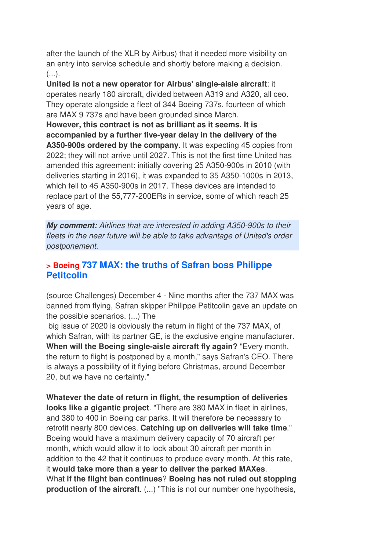after the launch of the XLR by Airbus) that it needed more visibility on an entry into service schedule and shortly before making a decision.  $(\ldots).$ 

**United is not a new operator for Airbus' single-aisle aircraft**: it operates nearly 180 aircraft, divided between A319 and A320, all ceo. They operate alongside a fleet of 344 Boeing 737s, fourteen of which are MAX 9 737s and have been grounded since March.

**However, this contract is not as brilliant as it seems. It is accompanied by a further five-year delay in the delivery of the A350-900s ordered by the company**. It was expecting 45 copies from 2022; they will not arrive until 2027. This is not the first time United has amended this agreement: initially covering 25 A350-900s in 2010 (with deliveries starting in 2016), it was expanded to 35 A350-1000s in 2013, which fell to 45 A350-900s in 2017. These devices are intended to replace part of the 55,777-200ERs in service, some of which reach 25 years of age.

*My comment:* Airlines that are interested in adding A350-900s to their fleets in the near future will be able to take advantage of United's order postponement.

#### **> Boeing 737 MAX: the truths of Safran boss Philippe Petitcolin**

(source Challenges) December 4 - Nine months after the 737 MAX was banned from flying, Safran skipper Philippe Petitcolin gave an update on the possible scenarios. (...) The

 big issue of 2020 is obviously the return in flight of the 737 MAX, of which Safran, with its partner GE, is the exclusive engine manufacturer. **When will the Boeing single-aisle aircraft fly again?** "Every month, the return to flight is postponed by a month," says Safran's CEO. There is always a possibility of it flying before Christmas, around December 20, but we have no certainty."

**Whatever the date of return in flight, the resumption of deliveries looks like a gigantic project**. "There are 380 MAX in fleet in airlines, and 380 to 400 in Boeing car parks. It will therefore be necessary to retrofit nearly 800 devices. **Catching up on deliveries will take time**." Boeing would have a maximum delivery capacity of 70 aircraft per month, which would allow it to lock about 30 aircraft per month in addition to the 42 that it continues to produce every month. At this rate, it **would take more than a year to deliver the parked MAXes**. What **if the flight ban continues**? **Boeing has not ruled out stopping production of the aircraft**. (...) "This is not our number one hypothesis,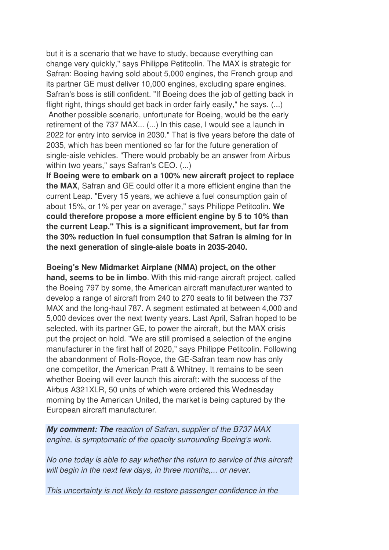but it is a scenario that we have to study, because everything can change very quickly," says Philippe Petitcolin. The MAX is strategic for Safran: Boeing having sold about 5,000 engines, the French group and its partner GE must deliver 10,000 engines, excluding spare engines. Safran's boss is still confident. "If Boeing does the job of getting back in flight right, things should get back in order fairly easily," he says. (...) Another possible scenario, unfortunate for Boeing, would be the early retirement of the 737 MAX... (...) In this case, I would see a launch in 2022 for entry into service in 2030." That is five years before the date of 2035, which has been mentioned so far for the future generation of single-aisle vehicles. "There would probably be an answer from Airbus within two years," says Safran's CEO. (...)

**If Boeing were to embark on a 100% new aircraft project to replace the MAX**, Safran and GE could offer it a more efficient engine than the current Leap. "Every 15 years, we achieve a fuel consumption gain of about 15%, or 1% per year on average," says Philippe Petitcolin. **We could therefore propose a more efficient engine by 5 to 10% than the current Leap." This is a significant improvement, but far from the 30% reduction in fuel consumption that Safran is aiming for in the next generation of single-aisle boats in 2035-2040.** 

**Boeing's New Midmarket Airplane (NMA) project, on the other hand, seems to be in limbo**. With this mid-range aircraft project, called the Boeing 797 by some, the American aircraft manufacturer wanted to develop a range of aircraft from 240 to 270 seats to fit between the 737 MAX and the long-haul 787. A segment estimated at between 4,000 and 5,000 devices over the next twenty years. Last April, Safran hoped to be selected, with its partner GE, to power the aircraft, but the MAX crisis put the project on hold. "We are still promised a selection of the engine manufacturer in the first half of 2020," says Philippe Petitcolin. Following the abandonment of Rolls-Royce, the GE-Safran team now has only one competitor, the American Pratt & Whitney. It remains to be seen whether Boeing will ever launch this aircraft: with the success of the Airbus A321XLR, 50 units of which were ordered this Wednesday morning by the American United, the market is being captured by the European aircraft manufacturer.

*My comment: The* reaction of Safran, supplier of the B737 MAX engine, is symptomatic of the opacity surrounding Boeing's work.

No one today is able to say whether the return to service of this aircraft will begin in the next few days, in three months,... or never.

This uncertainty is not likely to restore passenger confidence in the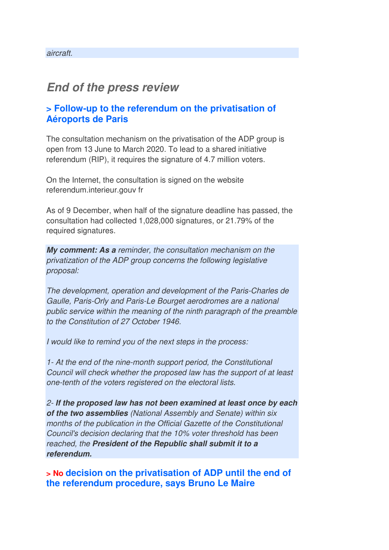## *End of the press review*

#### **> Follow-up to the referendum on the privatisation of Aéroports de Paris**

The consultation mechanism on the privatisation of the ADP group is open from 13 June to March 2020. To lead to a shared initiative referendum (RIP), it requires the signature of 4.7 million voters.

On the Internet, the consultation is signed on the website referendum.interieur.gouv fr

As of 9 December, when half of the signature deadline has passed, the consultation had collected 1,028,000 signatures, or 21.79% of the required signatures.

*My comment: As a* reminder, the consultation mechanism on the privatization of the ADP group concerns the following legislative proposal:

The development, operation and development of the Paris-Charles de Gaulle, Paris-Orly and Paris-Le Bourget aerodromes are a national public service within the meaning of the ninth paragraph of the preamble to the Constitution of 27 October 1946.

I would like to remind you of the next steps in the process:

1- At the end of the nine-month support period, the Constitutional Council will check whether the proposed law has the support of at least one-tenth of the voters registered on the electoral lists.

2- *If the proposed law has not been examined at least once by each of the two assemblies* (National Assembly and Senate) within six months of the publication in the Official Gazette of the Constitutional Council's decision declaring that the 10% voter threshold has been reached, the *President of the Republic shall submit it to a referendum.* 

**> No decision on the privatisation of ADP until the end of the referendum procedure, says Bruno Le Maire**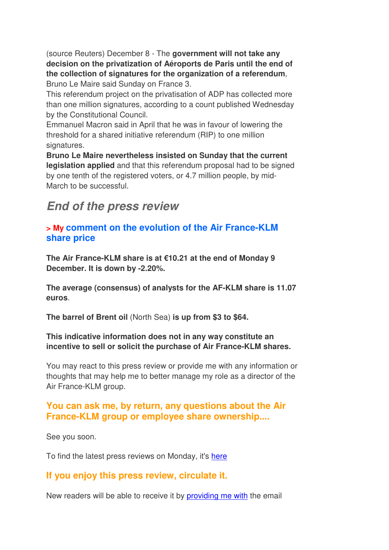(source Reuters) December 8 - The **government will not take any decision on the privatization of Aéroports de Paris until the end of the collection of signatures for the organization of a referendum**, Bruno Le Maire said Sunday on France 3.

This referendum project on the privatisation of ADP has collected more than one million signatures, according to a count published Wednesday by the Constitutional Council.

Emmanuel Macron said in April that he was in favour of lowering the threshold for a shared initiative referendum (RIP) to one million signatures.

**Bruno Le Maire nevertheless insisted on Sunday that the current legislation applied** and that this referendum proposal had to be signed by one tenth of the registered voters, or 4.7 million people, by mid-March to be successful.

# *End of the press review*

#### **> My comment on the evolution of the Air France-KLM share price**

**The Air France-KLM share is at €10.21 at the end of Monday 9 December. It is down by -2.20%.**

**The average (consensus) of analysts for the AF-KLM share is 11.07 euros**.

**The barrel of Brent oil** (North Sea) **is up from \$3 to \$64.**

#### **This indicative information does not in any way constitute an incentive to sell or solicit the purchase of Air France-KLM shares.**

You may react to this press review or provide me with any information or thoughts that may help me to better manage my role as a director of the Air France-KLM group.

#### **You can ask me, by return, any questions about the Air France-KLM group or employee share ownership....**

See you soon.

To find the latest press reviews on Monday, it's here

### **If you enjoy this press review, circulate it.**

New readers will be able to receive it by providing me with the email